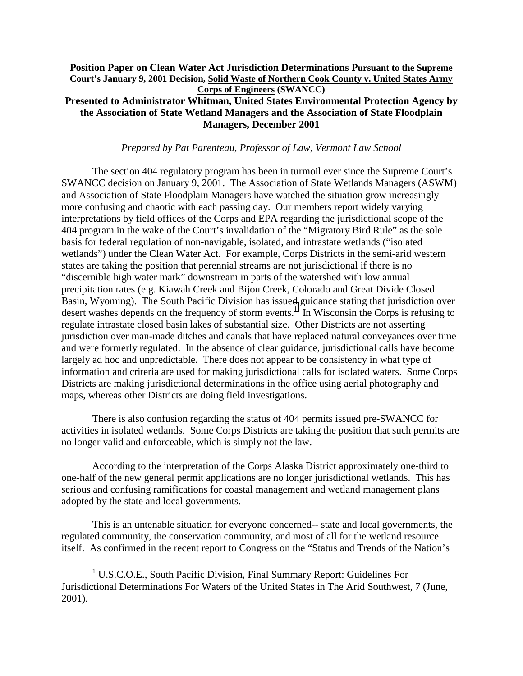## **Position Paper on Clean Water Act Jurisdiction Determinations Pursuant to the Supreme Court's January 9, 2001 Decision, Solid Waste of Northern Cook County v. United States Army Corps of Engineers (SWANCC) Presented to Administrator Whitman, United States Environmental Protection Agency by the Association of State Wetland Managers and the Association of State Floodplain**

**Managers, December 2001** 

## *Prepared by Pat Parenteau, Professor of Law, Vermont Law School*

 The section 404 regulatory program has been in turmoil ever since the Supreme Court's SWANCC decision on January 9, 2001. The Association of State Wetlands Managers (ASWM) and Association of State Floodplain Managers have watched the situation grow increasingly more confusing and chaotic with each passing day. Our members report widely varying interpretations by field offices of the Corps and EPA regarding the jurisdictional scope of the 404 program in the wake of the Court's invalidation of the "Migratory Bird Rule" as the sole basis for federal regulation of non-navigable, isolated, and intrastate wetlands ("isolated wetlands") under the Clean Water Act. For example, Corps Districts in the semi-arid western states are taking the position that perennial streams are not jurisdictional if there is no "discernible high water mark" downstream in parts of the watershed with low annual precipitation rates (e.g. Kiawah Creek and Bijou Creek, Colorado and Great Divide Closed Basin, Wyoming). The South Pacific Division has issued guidance stating that jurisdiction over desert washes depends on the frequency of storm events.<sup>1</sup> In Wisconsin the Corps is refusing to regulate intrastate closed basin lakes of substantial size. Other Districts are not asserting jurisdiction over man-made ditches and canals that have replaced natural conveyances over time and were formerly regulated. In the absence of clear guidance, jurisdictional calls have become largely ad hoc and unpredictable. There does not appear to be consistency in what type of information and criteria are used for making jurisdictional calls for isolated waters. Some Corps Districts are making jurisdictional determinations in the office using aerial photography and maps, whereas other Districts are doing field investigations.

 There is also confusion regarding the status of 404 permits issued pre-SWANCC for activities in isolated wetlands. Some Corps Districts are taking the position that such permits are no longer valid and enforceable, which is simply not the law.

 According to the interpretation of the Corps Alaska District approximately one-third to one-half of the new general permit applications are no longer jurisdictional wetlands. This has serious and confusing ramifications for coastal management and wetland management plans adopted by the state and local governments.

 This is an untenable situation for everyone concerned-- state and local governments, the regulated community, the conservation community, and most of all for the wetland resource itself. As confirmed in the recent report to Congress on the "Status and Trends of the Nation's

<sup>&</sup>lt;u>1</u> U.S.C.O.E., South Pacific Division, Final Summary Report: Guidelines For Jurisdictional Determinations For Waters of the United States in The Arid Southwest, 7 (June, 2001).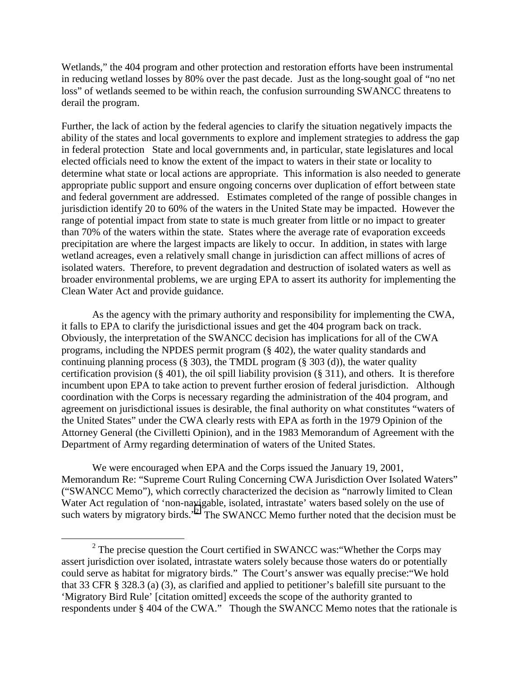Wetlands," the 404 program and other protection and restoration efforts have been instrumental in reducing wetland losses by 80% over the past decade. Just as the long-sought goal of "no net loss" of wetlands seemed to be within reach, the confusion surrounding SWANCC threatens to derail the program.

Further, the lack of action by the federal agencies to clarify the situation negatively impacts the ability of the states and local governments to explore and implement strategies to address the gap in federal protection State and local governments and, in particular, state legislatures and local elected officials need to know the extent of the impact to waters in their state or locality to determine what state or local actions are appropriate. This information is also needed to generate appropriate public support and ensure ongoing concerns over duplication of effort between state and federal government are addressed. Estimates completed of the range of possible changes in jurisdiction identify 20 to 60% of the waters in the United State may be impacted. However the range of potential impact from state to state is much greater from little or no impact to greater than 70% of the waters within the state. States where the average rate of evaporation exceeds precipitation are where the largest impacts are likely to occur. In addition, in states with large wetland acreages, even a relatively small change in jurisdiction can affect millions of acres of isolated waters. Therefore, to prevent degradation and destruction of isolated waters as well as broader environmental problems, we are urging EPA to assert its authority for implementing the Clean Water Act and provide guidance.

 As the agency with the primary authority and responsibility for implementing the CWA, it falls to EPA to clarify the jurisdictional issues and get the 404 program back on track. Obviously, the interpretation of the SWANCC decision has implications for all of the CWA programs, including the NPDES permit program (§ 402), the water quality standards and continuing planning process (§ 303), the TMDL program (§ 303 (d)), the water quality certification provision (§ 401), the oil spill liability provision (§ 311), and others. It is therefore incumbent upon EPA to take action to prevent further erosion of federal jurisdiction. Although coordination with the Corps is necessary regarding the administration of the 404 program, and agreement on jurisdictional issues is desirable, the final authority on what constitutes "waters of the United States" under the CWA clearly rests with EPA as forth in the 1979 Opinion of the Attorney General (the Civilletti Opinion), and in the 1983 Memorandum of Agreement with the Department of Army regarding determination of waters of the United States.

 We were encouraged when EPA and the Corps issued the January 19, 2001, Memorandum Re: "Supreme Court Ruling Concerning CWA Jurisdiction Over Isolated Waters" ("SWANCC Memo"), which correctly characterized the decision as "narrowly limited to Clean Water Act regulation of 'non-navigable, isolated, intrastate' waters based solely on the use of such waters by migratory birds."<sup>2</sup> The SWANCC Memo further noted that the decision must be

 $\frac{1}{2}$  $2$  The precise question the Court certified in SWANCC was: "Whether the Corps may assert jurisdiction over isolated, intrastate waters solely because those waters do or potentially could serve as habitat for migratory birds." The Court's answer was equally precise:"We hold that 33 CFR § 328.3 (a) (3), as clarified and applied to petitioner's balefill site pursuant to the 'Migratory Bird Rule' [citation omitted] exceeds the scope of the authority granted to respondents under § 404 of the CWA." Though the SWANCC Memo notes that the rationale is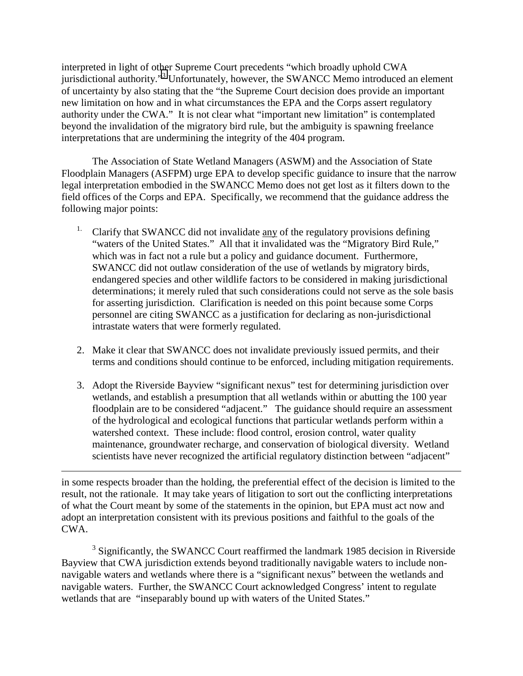interpreted in light of other Supreme Court precedents "which broadly uphold CWA jurisdictional authority."<sup>3</sup> Unfortunately, however, the SWANCC Memo introduced an element of uncertainty by also stating that the "the Supreme Court decision does provide an important new limitation on how and in what circumstances the EPA and the Corps assert regulatory authority under the CWA." It is not clear what "important new limitation" is contemplated beyond the invalidation of the migratory bird rule, but the ambiguity is spawning freelance interpretations that are undermining the integrity of the 404 program.

 The Association of State Wetland Managers (ASWM) and the Association of State Floodplain Managers (ASFPM) urge EPA to develop specific guidance to insure that the narrow legal interpretation embodied in the SWANCC Memo does not get lost as it filters down to the field offices of the Corps and EPA. Specifically, we recommend that the guidance address the following major points:

- <sup>1.</sup> Clarify that SWANCC did not invalidate any of the regulatory provisions defining "waters of the United States." All that it invalidated was the "Migratory Bird Rule," which was in fact not a rule but a policy and guidance document. Furthermore, SWANCC did not outlaw consideration of the use of wetlands by migratory birds, endangered species and other wildlife factors to be considered in making jurisdictional determinations; it merely ruled that such considerations could not serve as the sole basis for asserting jurisdiction. Clarification is needed on this point because some Corps personnel are citing SWANCC as a justification for declaring as non-jurisdictional intrastate waters that were formerly regulated.
- 2. Make it clear that SWANCC does not invalidate previously issued permits, and their terms and conditions should continue to be enforced, including mitigation requirements.
- 3. Adopt the Riverside Bayview "significant nexus" test for determining jurisdiction over wetlands, and establish a presumption that all wetlands within or abutting the 100 year floodplain are to be considered "adjacent." The guidance should require an assessment of the hydrological and ecological functions that particular wetlands perform within a watershed context. These include: flood control, erosion control, water quality maintenance, groundwater recharge, and conservation of biological diversity. Wetland scientists have never recognized the artificial regulatory distinction between "adjacent"

in some respects broader than the holding, the preferential effect of the decision is limited to the result, not the rationale. It may take years of litigation to sort out the conflicting interpretations of what the Court meant by some of the statements in the opinion, but EPA must act now and adopt an interpretation consistent with its previous positions and faithful to the goals of the CWA.

 $\overline{a}$ 

<sup>3</sup> Significantly, the SWANCC Court reaffirmed the landmark 1985 decision in Riverside Bayview that CWA jurisdiction extends beyond traditionally navigable waters to include nonnavigable waters and wetlands where there is a "significant nexus" between the wetlands and navigable waters. Further, the SWANCC Court acknowledged Congress' intent to regulate wetlands that are "inseparably bound up with waters of the United States."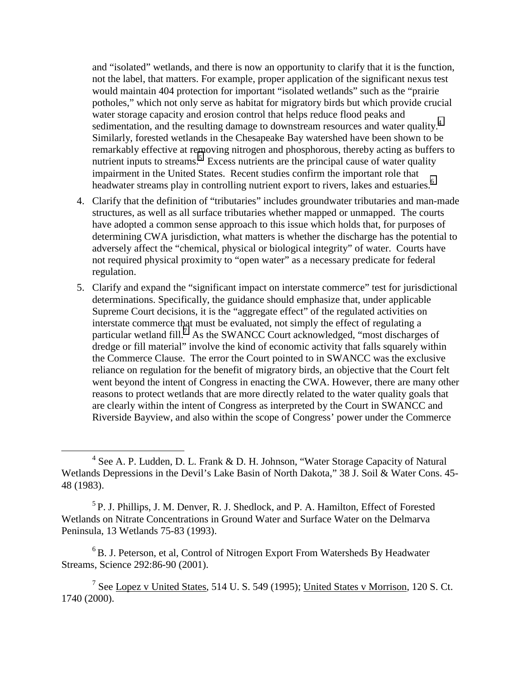and "isolated" wetlands, and there is now an opportunity to clarify that it is the function, not the label, that matters. For example, proper application of the significant nexus test would maintain 404 protection for important "isolated wetlands" such as the "prairie potholes," which not only serve as habitat for migratory birds but which provide crucial water storage capacity and erosion control that helps reduce flood peaks and sedimentation, and the resulting damage to downstream resources and water quality.<sup>4</sup> Similarly, forested wetlands in the Chesapeake Bay watershed have been shown to be remarkably effective at removing nitrogen and phosphorous, thereby acting as buffers to nutrient inputs to streams.<sup>5</sup> Excess nutrients are the principal cause of water quality impairment in the United States. Recent studies confirm the important role that headwater streams play in controlling nutrient export to rivers, lakes and estuaries.<sup>6</sup>

- 4. Clarify that the definition of "tributaries" includes groundwater tributaries and man-made structures, as well as all surface tributaries whether mapped or unmapped. The courts have adopted a common sense approach to this issue which holds that, for purposes of determining CWA jurisdiction, what matters is whether the discharge has the potential to adversely affect the "chemical, physical or biological integrity" of water. Courts have not required physical proximity to "open water" as a necessary predicate for federal regulation.
- 5. Clarify and expand the "significant impact on interstate commerce" test for jurisdictional determinations. Specifically, the guidance should emphasize that, under applicable Supreme Court decisions, it is the "aggregate effect" of the regulated activities on interstate commerce that must be evaluated, not simply the effect of regulating a particular wetland fill.<sup>7</sup> As the SWANCC Court acknowledged, "most discharges of dredge or fill material" involve the kind of economic activity that falls squarely within the Commerce Clause. The error the Court pointed to in SWANCC was the exclusive reliance on regulation for the benefit of migratory birds, an objective that the Court felt went beyond the intent of Congress in enacting the CWA. However, there are many other reasons to protect wetlands that are more directly related to the water quality goals that are clearly within the intent of Congress as interpreted by the Court in SWANCC and Riverside Bayview, and also within the scope of Congress' power under the Commerce

 ${}^{6}$ B. J. Peterson, et al, Control of Nitrogen Export From Watersheds By Headwater Streams, Science 292:86-90 (2001).

 $\frac{1}{4}$ <sup>4</sup> See A. P. Ludden, D. L. Frank & D. H. Johnson, "Water Storage Capacity of Natural Wetlands Depressions in the Devil's Lake Basin of North Dakota," 38 J. Soil & Water Cons. 45- 48 (1983).

<sup>5</sup> P. J. Phillips, J. M. Denver, R. J. Shedlock, and P. A. Hamilton, Effect of Forested Wetlands on Nitrate Concentrations in Ground Water and Surface Water on the Delmarva Peninsula, 13 Wetlands 75-83 (1993).

<sup>&</sup>lt;sup>7</sup> See Lopez v United States, 514 U. S. 549 (1995); United States v Morrison, 120 S. Ct. 1740 (2000).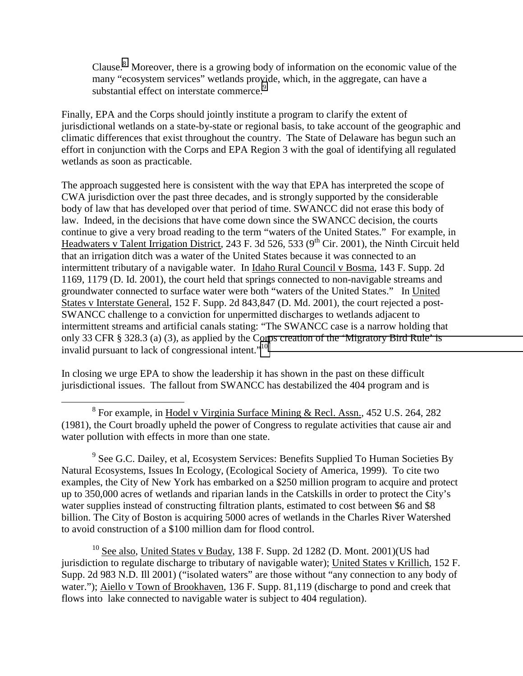Clause. $8$  Moreover, there is a growing body of information on the economic value of the many "ecosystem services" wetlands provide, which, in the aggregate, can have a substantial effect on interstate commerce.<sup>9</sup>

Finally, EPA and the Corps should jointly institute a program to clarify the extent of jurisdictional wetlands on a state-by-state or regional basis, to take account of the geographic and climatic differences that exist throughout the country. The State of Delaware has begun such an effort in conjunction with the Corps and EPA Region 3 with the goal of identifying all regulated wetlands as soon as practicable.

The approach suggested here is consistent with the way that EPA has interpreted the scope of CWA jurisdiction over the past three decades, and is strongly supported by the considerable body of law that has developed over that period of time. SWANCC did not erase this body of law. Indeed, in the decisions that have come down since the SWANCC decision, the courts continue to give a very broad reading to the term "waters of the United States." For example, in Headwaters v Talent Irrigation District, 243 F. 3d 526, 533 (9<sup>th</sup> Cir. 2001), the Ninth Circuit held that an irrigation ditch was a water of the United States because it was connected to an intermittent tributary of a navigable water. In Idaho Rural Council v Bosma, 143 F. Supp. 2d 1169, 1179 (D. Id. 2001), the court held that springs connected to non-navigable streams and groundwater connected to surface water were both "waters of the United States." In United States v Interstate General, 152 F. Supp. 2d 843,847 (D. Md. 2001), the court rejected a post-SWANCC challenge to a conviction for unpermitted discharges to wetlands adjacent to intermittent streams and artificial canals stating: "The SWANCC case is a narrow holding that only 33 CFR § 328.3 (a) (3), as applied by the Corps creation of the 'Migratory Bird Rule' is invalid pursuant to lack of congressional intent."<sup>10</sup>

In closing we urge EPA to show the leadership it has shown in the past on these difficult jurisdictional issues. The fallout from SWANCC has destabilized the 404 program and is

 $9^9$  See G.C. Dailey, et al, Ecosystem Services: Benefits Supplied To Human Societies By Natural Ecosystems, Issues In Ecology, (Ecological Society of America, 1999). To cite two examples, the City of New York has embarked on a \$250 million program to acquire and protect up to 350,000 acres of wetlands and riparian lands in the Catskills in order to protect the City's water supplies instead of constructing filtration plants, estimated to cost between \$6 and \$8 billion. The City of Boston is acquiring 5000 acres of wetlands in the Charles River Watershed to avoid construction of a \$100 million dam for flood control.

 $^{10}$  See also, United States v Buday, 138 F. Supp. 2d 1282 (D. Mont. 2001)(US had jurisdiction to regulate discharge to tributary of navigable water); United States v Krillich, 152 F. Supp. 2d 983 N.D. Ill 2001) ("isolated waters" are those without "any connection to any body of water."); Aiello v Town of Brookhaven, 136 F. Supp. 81,119 (discharge to pond and creek that flows into lake connected to navigable water is subject to 404 regulation).

 <sup>8</sup> <sup>8</sup> For example, in Hodel v Virginia Surface Mining & Recl. Assn., 452 U.S. 264, 282 (1981), the Court broadly upheld the power of Congress to regulate activities that cause air and water pollution with effects in more than one state.